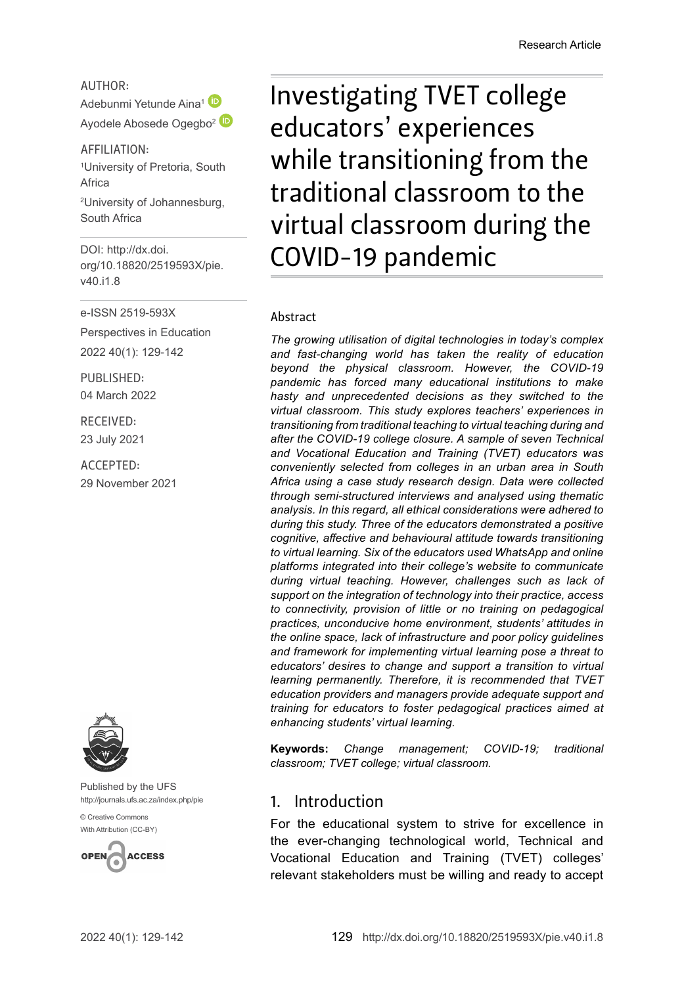### AUTHOR:

Adebunmi Yetunde Aina<sup>[1](http://orcid.org/0000-0001-9417-1510)</sup> Ayodele Abosede Ogegbo<sup>[2](http://orcid.org/0000-0002-4680-6689)</sup>

AFFILIATION: 1 University of Pretoria, South Africa

2 University of Johannesburg, South Africa

DOI: [http://dx.doi.](http://dx.doi.org/10.18820/2519593X/pie.v40.i1.8) [org/10.18820/2519593X/p](http://dx.doi.org/10.18820/2519593X/pie.v40.i1.8)ie. v40.i1.8

e-ISSN 2519-593X

Perspectives in Education 2022 40(1): 129-142

PUBLISHED: 04 March 2022

RECEIVED: 23 July 2021

ACCEPTED: 29 November 2021



Published by the UFS [http://journals.ufs.ac.za/index.php/pie](http://www.statssa.gov.za/?p=11341)

[© Creative Commons](http://documents.worldbank.org/curated/en/530481521735906534/Overcoming-Poverty-and-Inequality-in-South-Africa-An-Assessment-of-Drivers-Constraints-and-Opportunities)  [With Attribution \(CC-BY\)](http://documents.worldbank.org/curated/en/530481521735906534/Overcoming-Poverty-and-Inequality-in-South-Africa-An-Assessment-of-Drivers-Constraints-and-Opportunities)



Investigating TVET college educators' experiences while transitioning from the traditional classroom to the virtual classroom during the COVID-19 pandemic

#### Abstract

*The growing utilisation of digital technologies in today's complex and fast-changing world has taken the reality of education beyond the physical classroom. However, the COVID-19 pandemic has forced many educational institutions to make hasty and unprecedented decisions as they switched to the virtual classroom. This study explores teachers' experiences in transitioning from traditional teaching to virtual teaching during and after the COVID-19 college closure. A sample of seven Technical and Vocational Education and Training (TVET) educators was conveniently selected from colleges in an urban area in South Africa using a case study research design. Data were collected through semi-structured interviews and analysed using thematic analysis. In this regard, all ethical considerations were adhered to during this study. Three of the educators demonstrated a positive cognitive, affective and behavioural attitude towards transitioning to virtual learning. Six of the educators used WhatsApp and online platforms integrated into their college's website to communicate during virtual teaching. However, challenges such as lack of support on the integration of technology into their practice, access to connectivity, provision of little or no training on pedagogical practices, unconducive home environment, students' attitudes in the online space, lack of infrastructure and poor policy guidelines and framework for implementing virtual learning pose a threat to educators' desires to change and support a transition to virtual learning permanently. Therefore, it is recommended that TVET education providers and managers provide adequate support and training for educators to foster pedagogical practices aimed at enhancing students' virtual learning.* 

**Keywords:** *Change management; COVID-19; traditional classroom; TVET college; virtual classroom.*

### 1. Introduction

For the educational system to strive for excellence in the ever-changing technological world, Technical and Vocational Education and Training (TVET) colleges' relevant stakeholders must be willing and ready to accept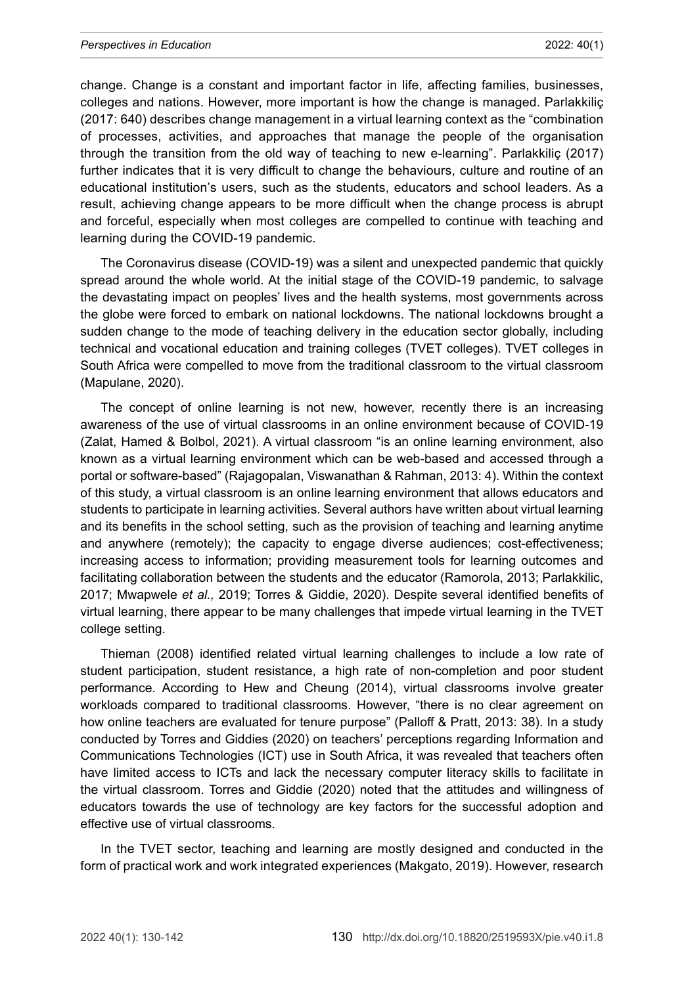change. Change is a constant and important factor in life, affecting families, businesses, colleges and nations. However, more important is how the change is managed. Parlakkiliç (2017: 640) describes change management in a virtual learning context as the "combination of processes, activities, and approaches that manage the people of the organisation through the transition from the old way of teaching to new e-learning". Parlakkiliç (2017) further indicates that it is very difficult to change the behaviours, culture and routine of an educational institution's users, such as the students, educators and school leaders. As a result, achieving change appears to be more difficult when the change process is abrupt and forceful, especially when most colleges are compelled to continue with teaching and learning during the COVID-19 pandemic.

The Coronavirus disease (COVID-19) was a silent and unexpected pandemic that quickly spread around the whole world. At the initial stage of the COVID-19 pandemic, to salvage the devastating impact on peoples' lives and the health systems, most governments across the globe were forced to embark on national lockdowns. The national lockdowns brought a sudden change to the mode of teaching delivery in the education sector globally, including technical and vocational education and training colleges (TVET colleges). TVET colleges in South Africa were compelled to move from the traditional classroom to the virtual classroom (Mapulane, 2020).

The concept of online learning is not new, however, recently there is an increasing awareness of the use of virtual classrooms in an online environment because of COVID-19 (Zalat, Hamed & Bolbol, 2021). A virtual classroom "is an online learning environment, also known as a virtual learning environment which can be web-based and accessed through a portal or software-based" (Rajagopalan, Viswanathan & Rahman, 2013: 4). Within the context of this study, a virtual classroom is an online learning environment that allows educators and students to participate in learning activities. Several authors have written about virtual learning and its benefits in the school setting, such as the provision of teaching and learning anytime and anywhere (remotely); the capacity to engage diverse audiences; cost-effectiveness; increasing access to information; providing measurement tools for learning outcomes and facilitating collaboration between the students and the educator (Ramorola, 2013; Parlakkilic, 2017; Mwapwele *et al.,* 2019; Torres & Giddie, 2020). Despite several identified benefits of virtual learning, there appear to be many challenges that impede virtual learning in the TVET college setting.

Thieman (2008) identified related virtual learning challenges to include a low rate of student participation, student resistance, a high rate of non-completion and poor student performance. According to Hew and Cheung (2014), virtual classrooms involve greater workloads compared to traditional classrooms. However, "there is no clear agreement on how online teachers are evaluated for tenure purpose" (Palloff & Pratt, 2013: 38). In a study conducted by Torres and Giddies (2020) on teachers' perceptions regarding Information and Communications Technologies (ICT) use in South Africa, it was revealed that teachers often have limited access to ICTs and lack the necessary computer literacy skills to facilitate in the virtual classroom. Torres and Giddie (2020) noted that the attitudes and willingness of educators towards the use of technology are key factors for the successful adoption and effective use of virtual classrooms.

In the TVET sector, teaching and learning are mostly designed and conducted in the form of practical work and work integrated experiences (Makgato, 2019). However, research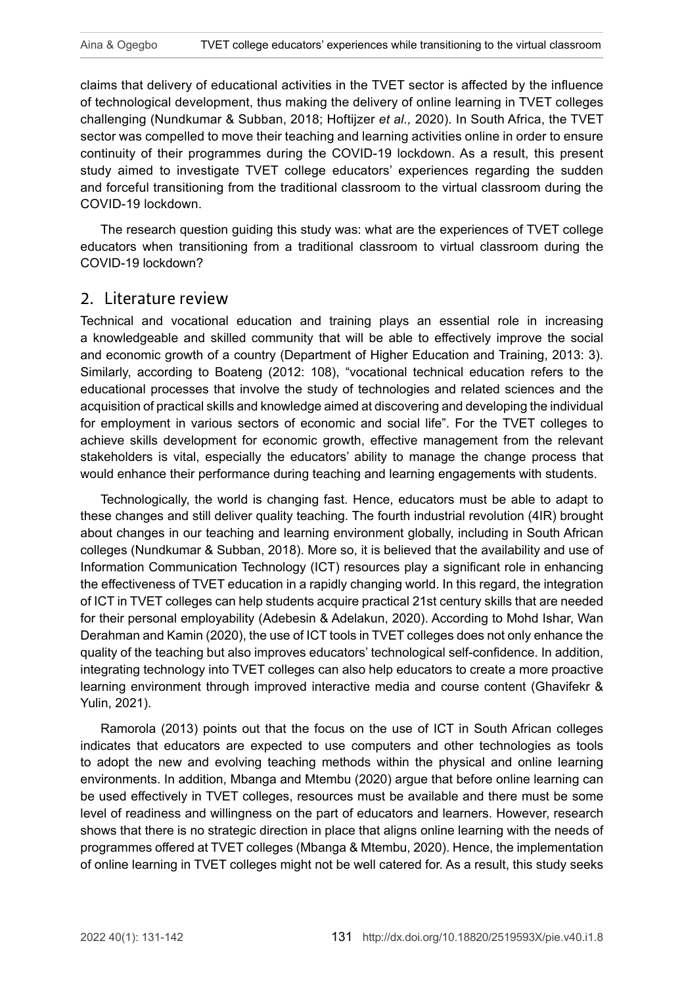claims that delivery of educational activities in the TVET sector is affected by the influence of technological development, thus making the delivery of online learning in TVET colleges challenging (Nundkumar & Subban, 2018; Hoftijzer *et al.,* 2020). In South Africa, the TVET sector was compelled to move their teaching and learning activities online in order to ensure continuity of their programmes during the COVID-19 lockdown. As a result, this present study aimed to investigate TVET college educators' experiences regarding the sudden and forceful transitioning from the traditional classroom to the virtual classroom during the COVID-19 lockdown.

The research question guiding this study was: what are the experiences of TVET college educators when transitioning from a traditional classroom to virtual classroom during the COVID-19 lockdown?

### 2. Literature review

Technical and vocational education and training plays an essential role in increasing a knowledgeable and skilled community that will be able to effectively improve the social and economic growth of a country (Department of Higher Education and Training, 2013: 3). Similarly, according to Boateng (2012: 108), "vocational technical education refers to the educational processes that involve the study of technologies and related sciences and the acquisition of practical skills and knowledge aimed at discovering and developing the individual for employment in various sectors of economic and social life". For the TVET colleges to achieve skills development for economic growth, effective management from the relevant stakeholders is vital, especially the educators' ability to manage the change process that would enhance their performance during teaching and learning engagements with students.

Technologically, the world is changing fast. Hence, educators must be able to adapt to these changes and still deliver quality teaching. The fourth industrial revolution (4IR) brought about changes in our teaching and learning environment globally, including in South African colleges (Nundkumar & Subban, 2018). More so, it is believed that the availability and use of Information Communication Technology (ICT) resources play a significant role in enhancing the effectiveness of TVET education in a rapidly changing world. In this regard, the integration of ICT in TVET colleges can help students acquire practical 21st century skills that are needed for their personal employability (Adebesin & Adelakun, 2020). According to Mohd Ishar, Wan Derahman and Kamin (2020), the use of ICT tools in TVET colleges does not only enhance the quality of the teaching but also improves educators' technological self-confidence. In addition, integrating technology into TVET colleges can also help educators to create a more proactive learning environment through improved interactive media and course content (Ghavifekr & Yulin, 2021).

Ramorola (2013) points out that the focus on the use of ICT in South African colleges indicates that educators are expected to use computers and other technologies as tools to adopt the new and evolving teaching methods within the physical and online learning environments. In addition, Mbanga and Mtembu (2020) argue that before online learning can be used effectively in TVET colleges, resources must be available and there must be some level of readiness and willingness on the part of educators and learners. However, research shows that there is no strategic direction in place that aligns online learning with the needs of programmes offered at TVET colleges (Mbanga & Mtembu, 2020). Hence, the implementation of online learning in TVET colleges might not be well catered for. As a result, this study seeks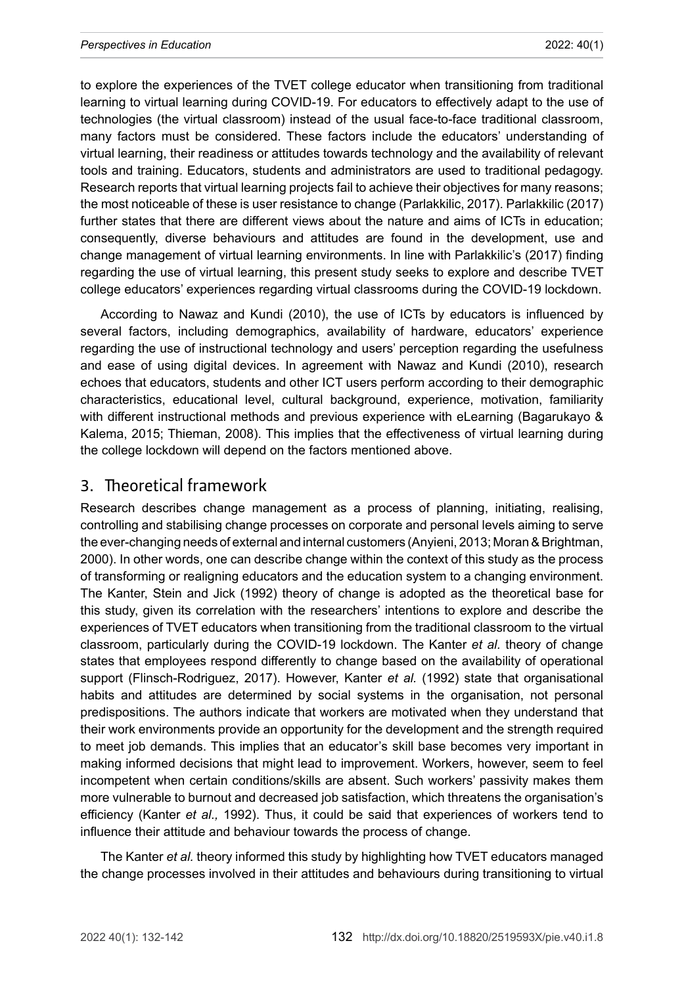to explore the experiences of the TVET college educator when transitioning from traditional learning to virtual learning during COVID-19. For educators to effectively adapt to the use of technologies (the virtual classroom) instead of the usual face-to-face traditional classroom, many factors must be considered. These factors include the educators' understanding of virtual learning, their readiness or attitudes towards technology and the availability of relevant tools and training. Educators, students and administrators are used to traditional pedagogy. Research reports that virtual learning projects fail to achieve their objectives for many reasons; the most noticeable of these is user resistance to change (Parlakkilic, 2017). Parlakkilic (2017) further states that there are different views about the nature and aims of ICTs in education; consequently, diverse behaviours and attitudes are found in the development, use and change management of virtual learning environments. In line with Parlakkilic's (2017) finding regarding the use of virtual learning, this present study seeks to explore and describe TVET college educators' experiences regarding virtual classrooms during the COVID-19 lockdown.

According to Nawaz and Kundi (2010), the use of ICTs by educators is influenced by several factors, including demographics, availability of hardware, educators' experience regarding the use of instructional technology and users' perception regarding the usefulness and ease of using digital devices. In agreement with Nawaz and Kundi (2010), research echoes that educators, students and other ICT users perform according to their demographic characteristics, educational level, cultural background, experience, motivation, familiarity with different instructional methods and previous experience with eLearning (Bagarukayo & Kalema, 2015; Thieman, 2008). This implies that the effectiveness of virtual learning during the college lockdown will depend on the factors mentioned above.

### 3. Theoretical framework

Research describes change management as a process of planning, initiating, realising, controlling and stabilising change processes on corporate and personal levels aiming to serve the ever-changing needs of external and internal customers (Anyieni, 2013; [Moran &](https://www.emerald.com/insight/search?q=John%20W.%20Moran) [Brightman,](https://www.emerald.com/insight/search?q=Baird%20K.%20Brightman) 2000). In other words, one can describe change within the context of this study as the process of transforming or realigning educators and the education system to a changing environment. The Kanter, Stein and Jick (1992) theory of change is adopted as the theoretical base for this study, given its correlation with the researchers' intentions to explore and describe the experiences of TVET educators when transitioning from the traditional classroom to the virtual classroom, particularly during the COVID-19 lockdown. The Kanter *et al.* theory of change states that employees respond differently to change based on the availability of operational support (Flinsch-Rodriguez, 2017). However, Kanter *et al.* (1992) state that organisational habits and attitudes are determined by social systems in the organisation, not personal predispositions. The authors indicate that workers are motivated when they understand that their work environments provide an opportunity for the development and the strength required to meet job demands. This implies that an educator's skill base becomes very important in making informed decisions that might lead to improvement. Workers, however, seem to feel incompetent when certain conditions/skills are absent. Such workers' passivity makes them more vulnerable to burnout and decreased job satisfaction, which threatens the organisation's efficiency (Kanter *et al.,* 1992). Thus, it could be said that experiences of workers tend to influence their attitude and behaviour towards the process of change.

The Kanter *et al.* theory informed this study by highlighting how TVET educators managed the change processes involved in their attitudes and behaviours during transitioning to virtual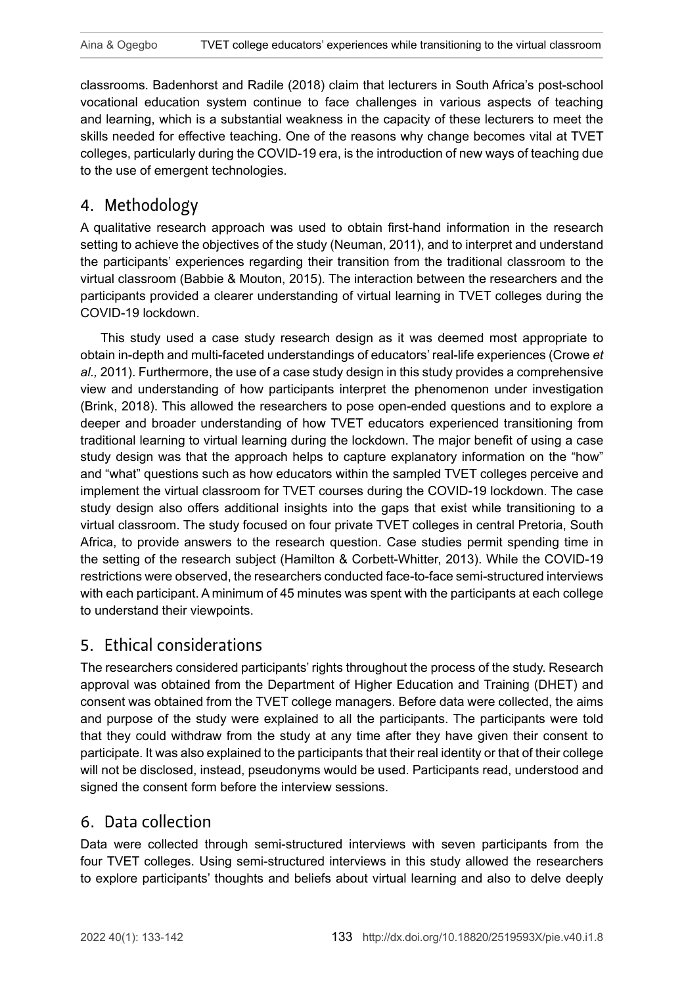classrooms. Badenhorst and Radile (2018) claim that lecturers in South Africa's post-school vocational education system continue to face challenges in various aspects of teaching and learning, which is a substantial weakness in the capacity of these lecturers to meet the skills needed for effective teaching. One of the reasons why change becomes vital at TVET colleges, particularly during the COVID-19 era, is the introduction of new ways of teaching due to the use of emergent technologies.

## 4. Methodology

A qualitative research approach was used to obtain first-hand information in the research setting to achieve the objectives of the study (Neuman, 2011), and to interpret and understand the participants' experiences regarding their transition from the traditional classroom to the virtual classroom (Babbie & Mouton, 2015). The interaction between the researchers and the participants provided a clearer understanding of virtual learning in TVET colleges during the COVID-19 lockdown.

This study used a case study research design as it was deemed most appropriate to obtain in-depth and multi-faceted understandings of educators' real-life experiences (Crowe *et al.,* 2011). Furthermore, the use of a case study design in this study provides a comprehensive view and understanding of how participants interpret the phenomenon under investigation (Brink, 2018). This allowed the researchers to pose open-ended questions and to explore a deeper and broader understanding of how TVET educators experienced transitioning from traditional learning to virtual learning during the lockdown. The major benefit of using a case study design was that the approach helps to capture explanatory information on the "how" and "what" questions such as how educators within the sampled TVET colleges perceive and implement the virtual classroom for TVET courses during the COVID-19 lockdown. The case study design also offers additional insights into the gaps that exist while transitioning to a virtual classroom. The study focused on four private TVET colleges in central Pretoria, South Africa, to provide answers to the research question. Case studies permit spending time in the setting of the research subject (Hamilton & Corbett-Whitter, 2013). While the COVID-19 restrictions were observed, the researchers conducted face-to-face semi-structured interviews with each participant. A minimum of 45 minutes was spent with the participants at each college to understand their viewpoints.

# 5. Ethical considerations

The researchers considered participants' rights throughout the process of the study. Research approval was obtained from the Department of Higher Education and Training (DHET) and consent was obtained from the TVET college managers. Before data were collected, the aims and purpose of the study were explained to all the participants. The participants were told that they could withdraw from the study at any time after they have given their consent to participate. It was also explained to the participants that their real identity or that of their college will not be disclosed, instead, pseudonyms would be used. Participants read, understood and signed the consent form before the interview sessions.

### 6. Data collection

Data were collected through semi-structured interviews with seven participants from the four TVET colleges. Using semi-structured interviews in this study allowed the researchers to explore participants' thoughts and beliefs about virtual learning and also to delve deeply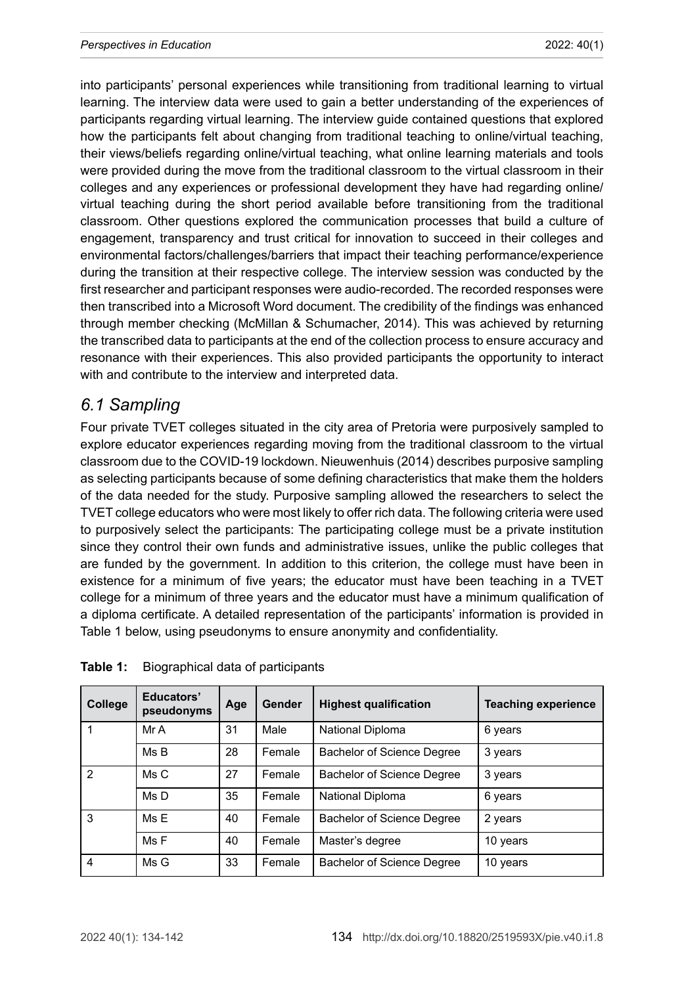into participants' personal experiences while transitioning from traditional learning to virtual learning. The interview data were used to gain a better understanding of the experiences of participants regarding virtual learning. The interview guide contained questions that explored how the participants felt about changing from traditional teaching to online/virtual teaching, their views/beliefs regarding online/virtual teaching, what online learning materials and tools were provided during the move from the traditional classroom to the virtual classroom in their colleges and any experiences or professional development they have had regarding online/ virtual teaching during the short period available before transitioning from the traditional classroom. Other questions explored the communication processes that build a culture of engagement, transparency and trust critical for innovation to succeed in their colleges and environmental factors/challenges/barriers that impact their teaching performance/experience during the transition at their respective college. The interview session was conducted by the first researcher and participant responses were audio-recorded. The recorded responses were then transcribed into a Microsoft Word document. The credibility of the findings was enhanced through member checking (McMillan & Schumacher, 2014). This was achieved by returning the transcribed data to participants at the end of the collection process to ensure accuracy and resonance with their experiences. This also provided participants the opportunity to interact with and contribute to the interview and interpreted data.

# *6.1 Sampling*

Four private TVET colleges situated in the city area of Pretoria were purposively sampled to explore educator experiences regarding moving from the traditional classroom to the virtual classroom due to the COVID-19 lockdown. Nieuwenhuis (2014) describes purposive sampling as selecting participants because of some defining characteristics that make them the holders of the data needed for the study. Purposive sampling allowed the researchers to select the TVET college educators who were most likely to offer rich data. The following criteria were used to purposively select the participants: The participating college must be a private institution since they control their own funds and administrative issues, unlike the public colleges that are funded by the government. In addition to this criterion, the college must have been in existence for a minimum of five years; the educator must have been teaching in a TVET college for a minimum of three years and the educator must have a minimum qualification of a diploma certificate. A detailed representation of the participants' information is provided in Table 1 below, using pseudonyms to ensure anonymity and confidentiality.

| College | Educators'<br>pseudonyms | Age | Gender | <b>Highest qualification</b> | <b>Teaching experience</b> |
|---------|--------------------------|-----|--------|------------------------------|----------------------------|
|         | Mr A                     | 31  | Male   | National Diploma             | 6 years                    |
|         | MsB                      | 28  | Female | Bachelor of Science Degree   | 3 years                    |
| 2       | Ms C                     | 27  | Female | Bachelor of Science Degree   | 3 years                    |
|         | Ms D                     | 35  | Female | National Diploma             | 6 years                    |
| 3       | MsF                      | 40  | Female | Bachelor of Science Degree   | 2 years                    |
|         | MsF                      | 40  | Female | Master's degree              | 10 years                   |
| 4       | Ms G                     | 33  | Female | Bachelor of Science Degree   | 10 years                   |

**Table 1:** Biographical data of participants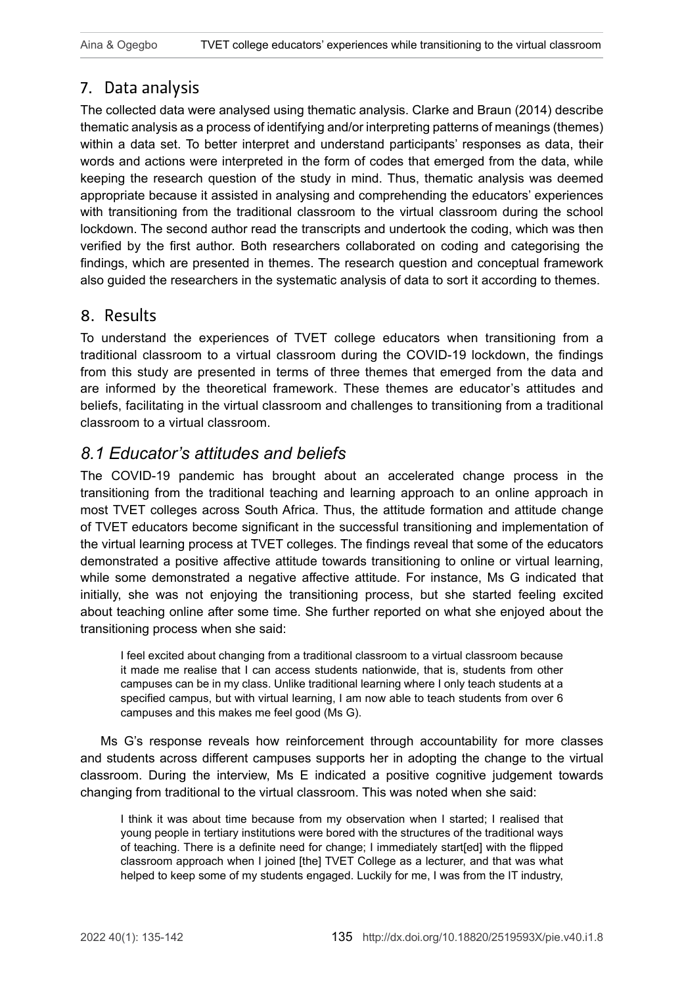# 7. Data analysis

The collected data were analysed using thematic analysis. Clarke and Braun (2014) describe thematic analysis as a process of identifying and/or interpreting patterns of meanings (themes) within a data set. To better interpret and understand participants' responses as data, their words and actions were interpreted in the form of codes that emerged from the data, while keeping the research question of the study in mind. Thus, thematic analysis was deemed appropriate because it assisted in analysing and comprehending the educators' experiences with transitioning from the traditional classroom to the virtual classroom during the school lockdown. The second author read the transcripts and undertook the coding, which was then verified by the first author. Both researchers collaborated on coding and categorising the findings, which are presented in themes. The research question and conceptual framework also guided the researchers in the systematic analysis of data to sort it according to themes.

# 8. Results

To understand the experiences of TVET college educators when transitioning from a traditional classroom to a virtual classroom during the COVID-19 lockdown, the findings from this study are presented in terms of three themes that emerged from the data and are informed by the theoretical framework. These themes are educator's attitudes and beliefs, facilitating in the virtual classroom and challenges to transitioning from a traditional classroom to a virtual classroom.

# *8.1 Educator's attitudes and beliefs*

The COVID-19 pandemic has brought about an accelerated change process in the transitioning from the traditional teaching and learning approach to an online approach in most TVET colleges across South Africa. Thus, the attitude formation and attitude change of TVET educators become significant in the successful transitioning and implementation of the virtual learning process at TVET colleges. The findings reveal that some of the educators demonstrated a positive affective attitude towards transitioning to online or virtual learning, while some demonstrated a negative affective attitude. For instance, Ms G indicated that initially, she was not enjoying the transitioning process, but she started feeling excited about teaching online after some time. She further reported on what she enjoyed about the transitioning process when she said:

I feel excited about changing from a traditional classroom to a virtual classroom because it made me realise that I can access students nationwide, that is, students from other campuses can be in my class. Unlike traditional learning where I only teach students at a specified campus, but with virtual learning, I am now able to teach students from over 6 campuses and this makes me feel good (Ms G).

Ms G's response reveals how reinforcement through accountability for more classes and students across different campuses supports her in adopting the change to the virtual classroom. During the interview, Ms E indicated a positive cognitive judgement towards changing from traditional to the virtual classroom. This was noted when she said:

I think it was about time because from my observation when I started; I realised that young people in tertiary institutions were bored with the structures of the traditional ways of teaching. There is a definite need for change; I immediately start[ed] with the flipped classroom approach when I joined [the] TVET College as a lecturer, and that was what helped to keep some of my students engaged. Luckily for me, I was from the IT industry,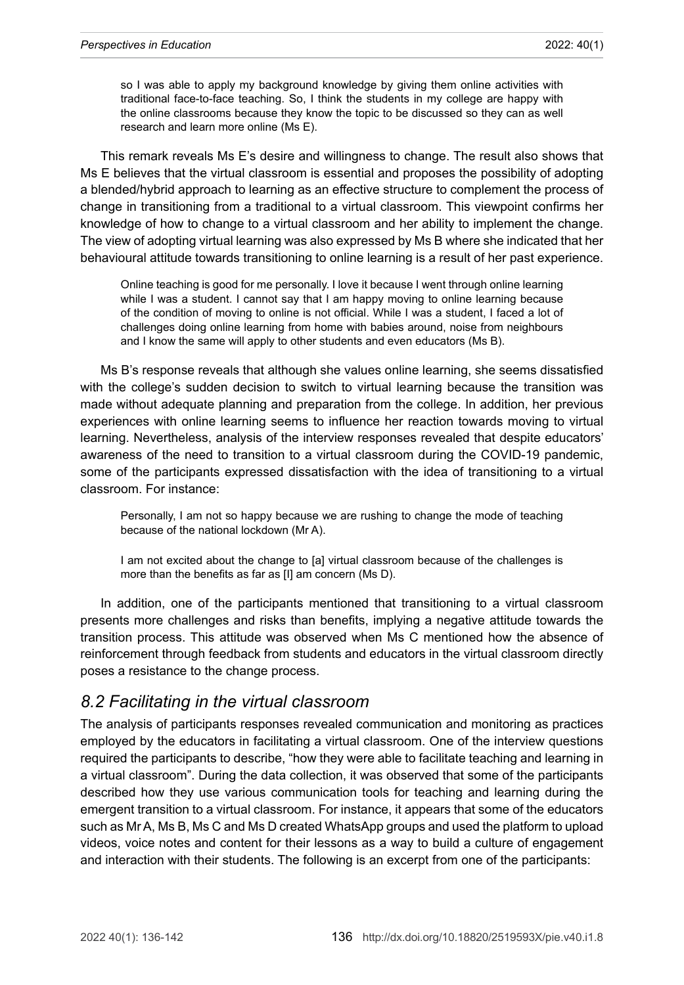so I was able to apply my background knowledge by giving them online activities with traditional face-to-face teaching. So, I think the students in my college are happy with the online classrooms because they know the topic to be discussed so they can as well research and learn more online (Ms E).

This remark reveals Ms E's desire and willingness to change. The result also shows that Ms E believes that the virtual classroom is essential and proposes the possibility of adopting a blended/hybrid approach to learning as an effective structure to complement the process of change in transitioning from a traditional to a virtual classroom. This viewpoint confirms her knowledge of how to change to a virtual classroom and her ability to implement the change. The view of adopting virtual learning was also expressed by Ms B where she indicated that her behavioural attitude towards transitioning to online learning is a result of her past experience.

Online teaching is good for me personally. I love it because I went through online learning while I was a student. I cannot say that I am happy moving to online learning because of the condition of moving to online is not official. While I was a student, I faced a lot of challenges doing online learning from home with babies around, noise from neighbours and I know the same will apply to other students and even educators (Ms B).

Ms B's response reveals that although she values online learning, she seems dissatisfied with the college's sudden decision to switch to virtual learning because the transition was made without adequate planning and preparation from the college. In addition, her previous experiences with online learning seems to influence her reaction towards moving to virtual learning. Nevertheless, analysis of the interview responses revealed that despite educators' awareness of the need to transition to a virtual classroom during the COVID-19 pandemic, some of the participants expressed dissatisfaction with the idea of transitioning to a virtual classroom. For instance:

Personally, I am not so happy because we are rushing to change the mode of teaching because of the national lockdown (Mr A).

I am not excited about the change to [a] virtual classroom because of the challenges is more than the benefits as far as [I] am concern (Ms D).

In addition, one of the participants mentioned that transitioning to a virtual classroom presents more challenges and risks than benefits, implying a negative attitude towards the transition process. This attitude was observed when Ms C mentioned how the absence of reinforcement through feedback from students and educators in the virtual classroom directly poses a resistance to the change process.

### *8.2 Facilitating in the virtual classroom*

The analysis of participants responses revealed communication and monitoring as practices employed by the educators in facilitating a virtual classroom. One of the interview questions required the participants to describe, "how they were able to facilitate teaching and learning in a virtual classroom". During the data collection, it was observed that some of the participants described how they use various communication tools for teaching and learning during the emergent transition to a virtual classroom. For instance, it appears that some of the educators such as Mr A, Ms B, Ms C and Ms D created WhatsApp groups and used the platform to upload videos, voice notes and content for their lessons as a way to build a culture of engagement and interaction with their students. The following is an excerpt from one of the participants: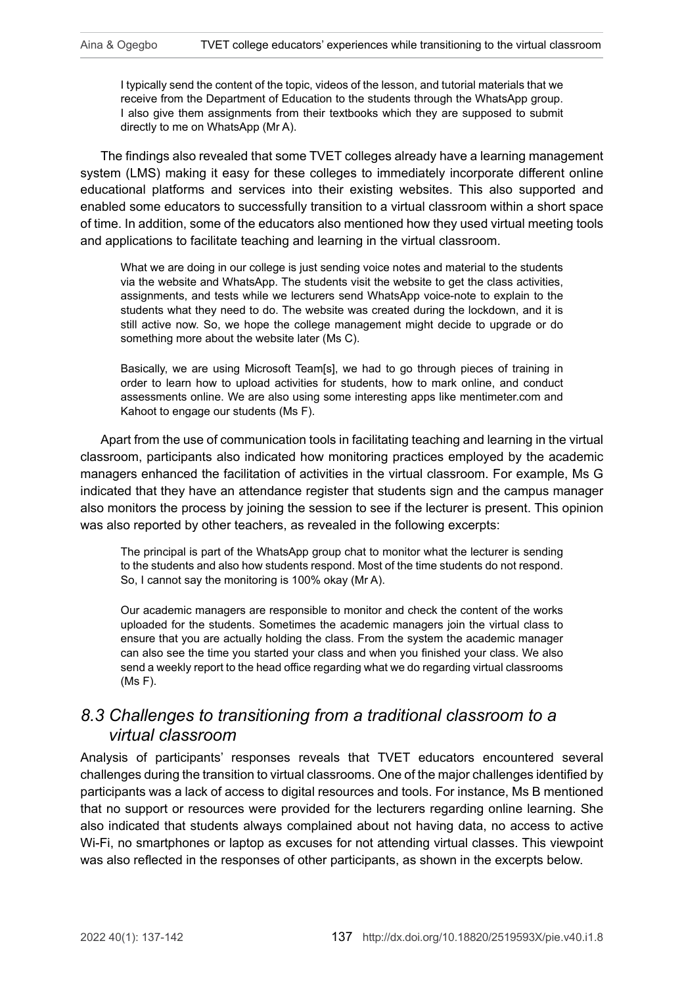I typically send the content of the topic, videos of the lesson, and tutorial materials that we receive from the Department of Education to the students through the WhatsApp group. I also give them assignments from their textbooks which they are supposed to submit directly to me on WhatsApp (Mr A).

The findings also revealed that some TVET colleges already have a learning management system (LMS) making it easy for these colleges to immediately incorporate different online educational platforms and services into their existing websites. This also supported and enabled some educators to successfully transition to a virtual classroom within a short space of time. In addition, some of the educators also mentioned how they used virtual meeting tools and applications to facilitate teaching and learning in the virtual classroom.

What we are doing in our college is just sending voice notes and material to the students via the website and WhatsApp. The students visit the website to get the class activities, assignments, and tests while we lecturers send WhatsApp voice-note to explain to the students what they need to do. The website was created during the lockdown, and it is still active now. So, we hope the college management might decide to upgrade or do something more about the website later (Ms C).

Basically, we are using Microsoft Team[s], we had to go through pieces of training in order to learn how to upload activities for students, how to mark online, and conduct assessments online. We are also using some interesting apps like [mentimeter.com](http://mentimeter.com) and Kahoot to engage our students (Ms F).

Apart from the use of communication tools in facilitating teaching and learning in the virtual classroom, participants also indicated how monitoring practices employed by the academic managers enhanced the facilitation of activities in the virtual classroom. For example, Ms G indicated that they have an attendance register that students sign and the campus manager also monitors the process by joining the session to see if the lecturer is present. This opinion was also reported by other teachers, as revealed in the following excerpts:

The principal is part of the WhatsApp group chat to monitor what the lecturer is sending to the students and also how students respond. Most of the time students do not respond. So, I cannot say the monitoring is 100% okay (Mr A).

Our academic managers are responsible to monitor and check the content of the works uploaded for the students. Sometimes the academic managers join the virtual class to ensure that you are actually holding the class. From the system the academic manager can also see the time you started your class and when you finished your class. We also send a weekly report to the head office regarding what we do regarding virtual classrooms (Ms F).

# *8.3 Challenges to transitioning from a traditional classroom to a virtual classroom*

Analysis of participants' responses reveals that TVET educators encountered several challenges during the transition to virtual classrooms. One of the major challenges identified by participants was a lack of access to digital resources and tools. For instance, Ms B mentioned that no support or resources were provided for the lecturers regarding online learning. She also indicated that students always complained about not having data, no access to active Wi-Fi, no smartphones or laptop as excuses for not attending virtual classes. This viewpoint was also reflected in the responses of other participants, as shown in the excerpts below.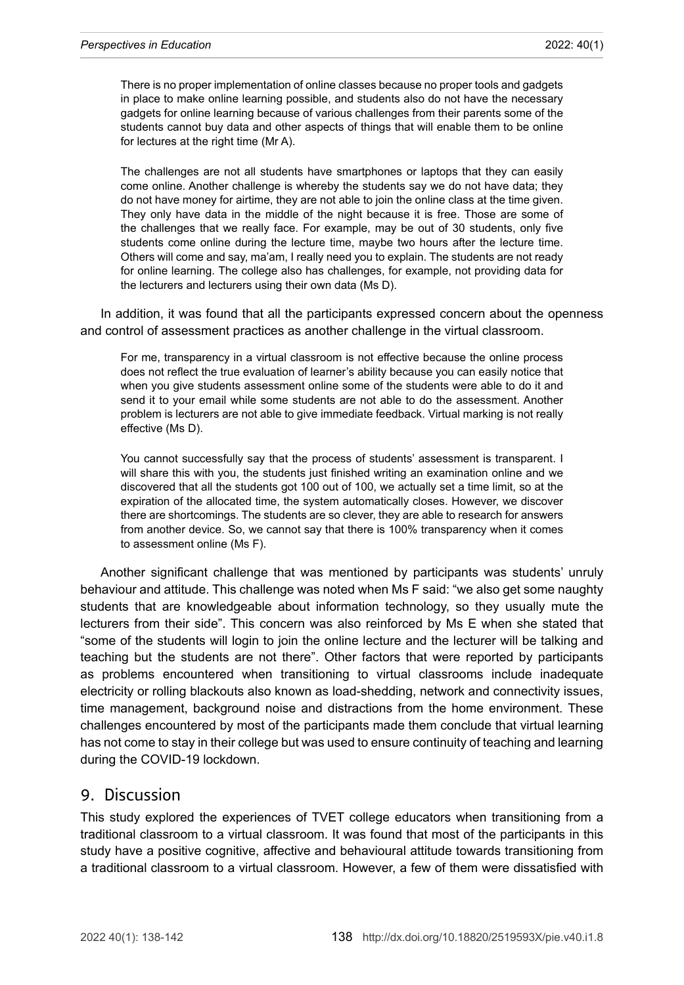There is no proper implementation of online classes because no proper tools and gadgets in place to make online learning possible, and students also do not have the necessary gadgets for online learning because of various challenges from their parents some of the students cannot buy data and other aspects of things that will enable them to be online for lectures at the right time (Mr A).

The challenges are not all students have smartphones or laptops that they can easily come online. Another challenge is whereby the students say we do not have data; they do not have money for airtime, they are not able to join the online class at the time given. They only have data in the middle of the night because it is free. Those are some of the challenges that we really face. For example, may be out of 30 students, only five students come online during the lecture time, maybe two hours after the lecture time. Others will come and say, ma'am, I really need you to explain. The students are not ready for online learning. The college also has challenges, for example, not providing data for the lecturers and lecturers using their own data (Ms D).

In addition, it was found that all the participants expressed concern about the openness and control of assessment practices as another challenge in the virtual classroom.

For me, transparency in a virtual classroom is not effective because the online process does not reflect the true evaluation of learner's ability because you can easily notice that when you give students assessment online some of the students were able to do it and send it to your email while some students are not able to do the assessment. Another problem is lecturers are not able to give immediate feedback. Virtual marking is not really effective (Ms D).

You cannot successfully say that the process of students' assessment is transparent. I will share this with you, the students just finished writing an examination online and we discovered that all the students got 100 out of 100, we actually set a time limit, so at the expiration of the allocated time, the system automatically closes. However, we discover there are shortcomings. The students are so clever, they are able to research for answers from another device. So, we cannot say that there is 100% transparency when it comes to assessment online (Ms F).

Another significant challenge that was mentioned by participants was students' unruly behaviour and attitude. This challenge was noted when Ms F said: "we also get some naughty students that are knowledgeable about information technology, so they usually mute the lecturers from their side". This concern was also reinforced by Ms E when she stated that "some of the students will login to join the online lecture and the lecturer will be talking and teaching but the students are not there". Other factors that were reported by participants as problems encountered when transitioning to virtual classrooms include inadequate electricity or rolling blackouts also known as load-shedding, network and connectivity issues, time management, background noise and distractions from the home environment. These challenges encountered by most of the participants made them conclude that virtual learning has not come to stay in their college but was used to ensure continuity of teaching and learning during the COVID-19 lockdown.

### 9. Discussion

This study explored the experiences of TVET college educators when transitioning from a traditional classroom to a virtual classroom. It was found that most of the participants in this study have a positive cognitive, affective and behavioural attitude towards transitioning from a traditional classroom to a virtual classroom. However, a few of them were dissatisfied with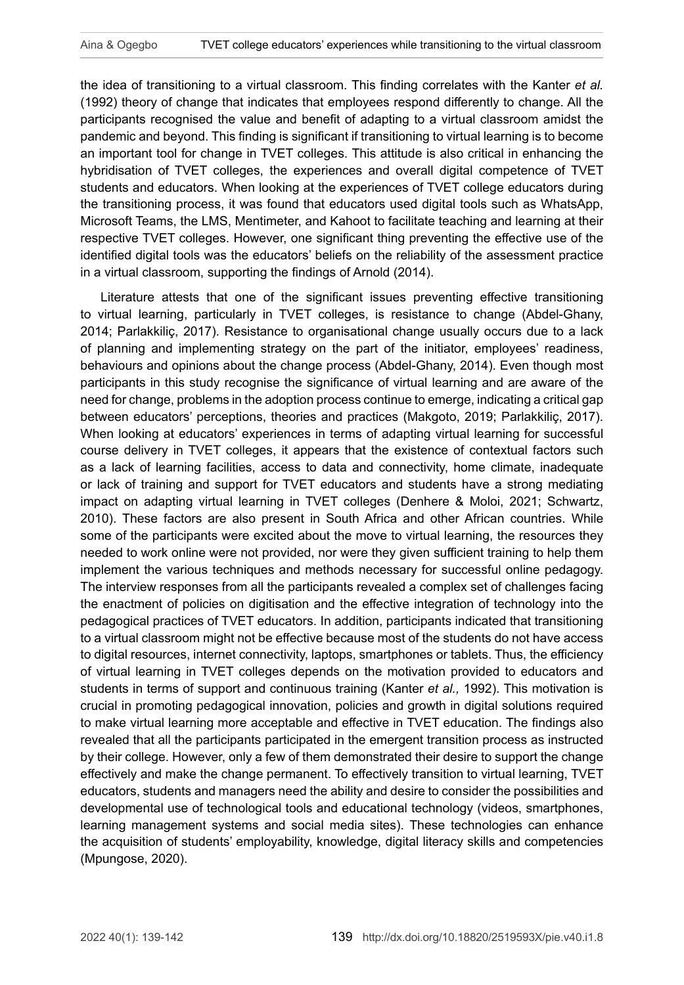the idea of transitioning to a virtual classroom. This finding correlates with the Kanter *et al.* (1992) theory of change that indicates that employees respond differently to change. All the participants recognised the value and benefit of adapting to a virtual classroom amidst the pandemic and beyond. This finding is significant if transitioning to virtual learning is to become an important tool for change in TVET colleges. This attitude is also critical in enhancing the hybridisation of TVET colleges, the experiences and overall digital competence of TVET students and educators. When looking at the experiences of TVET college educators during the transitioning process, it was found that educators used digital tools such as WhatsApp, Microsoft Teams, the LMS, Mentimeter, and Kahoot to facilitate teaching and learning at their respective TVET colleges. However, one significant thing preventing the effective use of the identified digital tools was the educators' beliefs on the reliability of the assessment practice in a virtual classroom, supporting the findings of Arnold (2014).

Literature attests that one of the significant issues preventing effective transitioning to virtual learning, particularly in TVET colleges, is resistance to change (Abdel-Ghany, 2014; Parlakkiliç, 2017). Resistance to organisational change usually occurs due to a lack of planning and implementing strategy on the part of the initiator, employees' readiness, behaviours and opinions about the change process (Abdel-Ghany, 2014). Even though most participants in this study recognise the significance of virtual learning and are aware of the need for change, problems in the adoption process continue to emerge, indicating a critical gap between educators' perceptions, theories and practices (Makgoto, 2019; Parlakkiliç, 2017). When looking at educators' experiences in terms of adapting virtual learning for successful course delivery in TVET colleges, it appears that the existence of contextual factors such as a lack of learning facilities, access to data and connectivity, home climate, inadequate or lack of training and support for TVET educators and students have a strong mediating impact on adapting virtual learning in TVET colleges (Denhere & Moloi, 2021; Schwartz, 2010). These factors are also present in South Africa and other African countries. While some of the participants were excited about the move to virtual learning, the resources they needed to work online were not provided, nor were they given sufficient training to help them implement the various techniques and methods necessary for successful online pedagogy. The interview responses from all the participants revealed a complex set of challenges facing the enactment of policies on digitisation and the effective integration of technology into the pedagogical practices of TVET educators. In addition, participants indicated that transitioning to a virtual classroom might not be effective because most of the students do not have access to digital resources, internet connectivity, laptops, smartphones or tablets. Thus, the efficiency of virtual learning in TVET colleges depends on the motivation provided to educators and students in terms of support and continuous training (Kanter *et al.,* 1992). This motivation is crucial in promoting pedagogical innovation, policies and growth in digital solutions required to make virtual learning more acceptable and effective in TVET education. The findings also revealed that all the participants participated in the emergent transition process as instructed by their college. However, only a few of them demonstrated their desire to support the change effectively and make the change permanent. To effectively transition to virtual learning, TVET educators, students and managers need the ability and desire to consider the possibilities and developmental use of technological tools and educational technology (videos, smartphones, learning management systems and social media sites). These technologies can enhance the acquisition of students' employability, knowledge, digital literacy skills and competencies (Mpungose, 2020).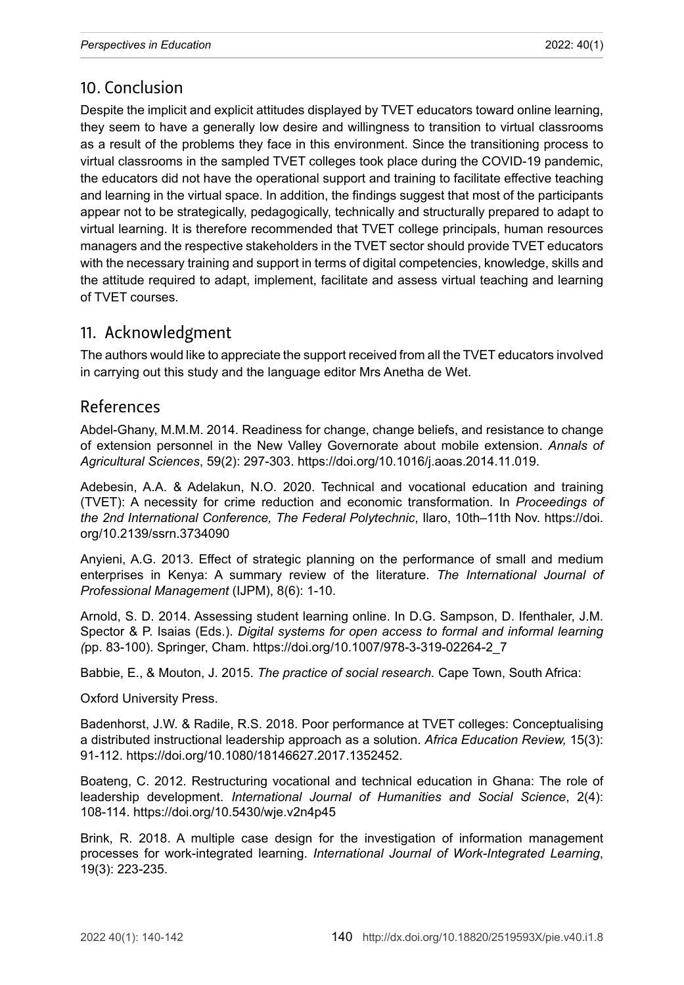# 10. Conclusion

Despite the implicit and explicit attitudes displayed by TVET educators toward online learning, they seem to have a generally low desire and willingness to transition to virtual classrooms as a result of the problems they face in this environment. Since the transitioning process to virtual classrooms in the sampled TVET colleges took place during the COVID-19 pandemic, the educators did not have the operational support and training to facilitate effective teaching and learning in the virtual space. In addition, the findings suggest that most of the participants appear not to be strategically, pedagogically, technically and structurally prepared to adapt to virtual learning. It is therefore recommended that TVET college principals, human resources managers and the respective stakeholders in the TVET sector should provide TVET educators with the necessary training and support in terms of digital competencies, knowledge, skills and the attitude required to adapt, implement, facilitate and assess virtual teaching and learning of TVET courses.

# 11. Acknowledgment

The authors would like to appreciate the support received from all the TVET educators involved in carrying out this study and the language editor Mrs Anetha de Wet.

### References

Abdel-Ghany, M.M.M. 2014. Readiness for change, change beliefs, and resistance to change of extension personnel in the New Valley Governorate about mobile extension. *Annals of Agricultural Sciences*, 59(2): 297-303. [https://doi.org/10.1016/j.aoas.2014.11.019.](https://doi.org/10.1016/j.aoas.2014.11.019)

Adebesin, A.A. & Adelakun, N.O. 2020. Technical and vocational education and training (TVET): A necessity for crime reduction and economic transformation. In *Proceedings of the 2nd International Conference, The Federal Polytechnic*, Ilaro, 10th–11th Nov. [https://doi.](https://doi.org/10.2139/ssrn.3734090) [org/10.2139/ssrn.3734090](https://doi.org/10.2139/ssrn.3734090)

Anyieni, A.G. 2013. Effect of strategic planning on the performance of small and medium enterprises in Kenya: A summary review of the literature. *The International Journal of Professional Management* (IJPM), 8(6): 1-10.

Arnold, S. D. 2014. Assessing student learning online. In D.G. Sampson, D. Ifenthaler, J.M. Spector & P. Isaias (Eds.). *Digital systems for open access to formal and informal learning (*pp. 83-100). Springer, Cham. [https://doi.org/10.1007/978-3-319-02264-2\\_7](https://doi.org/10.1007/978-3-319-02264-2_7)

Babbie, E., & Mouton, J. 2015. *The practice of social research.* Cape Town, South Africa:

Oxford University Press.

Badenhorst, J.W. & Radile, R.S. 2018. Poor performance at TVET colleges: Conceptualising a distributed instructional leadership approach as a solution. *Africa Education Review,* 15(3): 91-112.<https://doi.org/10.1080/18146627.2017.1352452>.

Boateng, C. 2012. Restructuring vocational and technical education in Ghana: The role of leadership development. *International Journal of Humanities and Social Science*, 2(4): 108-114.<https://doi.org/10.5430/wje.v2n4p45>

Brink, R. 2018. A multiple case design for the investigation of information management processes for work-integrated learning. *International Journal of Work-Integrated Learning*, 19(3): 223-235.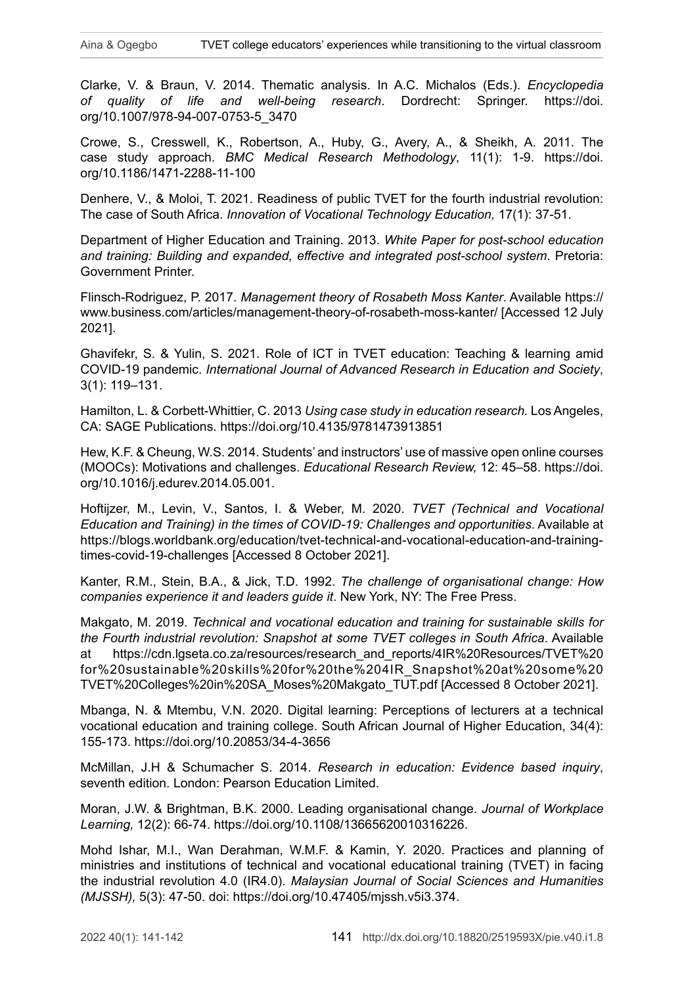Clarke, V. & Braun, V. 2014. Thematic analysis. In A.C. Michalos (Eds.). *Encyclopedia of quality of life and well-being research*. Dordrecht: Springer. [https://doi.](https://doi.org/10.1007/978-94-007-0753-5_3470) [org/10.1007/978-94-007-0753-5\\_3470](https://doi.org/10.1007/978-94-007-0753-5_3470)

Crowe, S., Cresswell, K., Robertson, A., Huby, G., Avery, A., & Sheikh, A. 2011. The case study approach. *BMC Medical Research Methodology*, 11(1): 1-9. [https://doi.](https://doi.org/10.1186/1471-2288-11-100) [org/10.1186/1471-2288-11-100](https://doi.org/10.1186/1471-2288-11-100)

Denhere, V., & Moloi, T. 2021. Readiness of public TVET for the fourth industrial revolution: The case of South Africa. *Innovation of Vocational Technology Education,* 17(1): 37-51.

Department of Higher Education and Training. 2013. *White Paper for post-school education and training: Building and expanded, effective and integrated post-school system*. Pretoria: Government Printer.

Flinsch-Rodriguez, P. 2017. *Management theory of Rosabeth Moss Kanter*. Available [https://](https://www.business.com/articles/management-theory-of-rosabeth-moss-kanter/) [www.business.com/articles/management-theory-of-rosabeth-moss-kanter/](https://www.business.com/articles/management-theory-of-rosabeth-moss-kanter/) [Accessed 12 July 2021].

Ghavifekr, S. & Yulin, S. 2021. Role of ICT in TVET education: Teaching & learning amid COVID-19 pandemic. *International Journal of Advanced Research in Education and Society*, 3(1): 119–131.

Hamilton, L. & Corbett-Whittier, C. 2013 *Using case study in education research.* Los Angeles, CA: SAGE Publications.<https://doi.org/10.4135/9781473913851>

Hew, K.F. & Cheung, W.S. 2014. Students' and instructors' use of massive open online courses (MOOCs): Motivations and challenges. *Educational Research Review,* 12: 45–58. [https://doi.](https://doi.org/10.1016/j.edurev.2014.05.001) [org/10.1016/j.edurev.2014.05.001](https://doi.org/10.1016/j.edurev.2014.05.001).

Hoftijzer, M., Levin, V., Santos, I. & Weber, M. 2020. *TVET (Technical and Vocational Education and Training) in the times of COVID-19: Challenges and opportunities*. Available at [https://blogs.worldbank.org/education/tvet-technical-and-vocational-education-and-training](https://blogs.worldbank.org/education/tvet-technical-and-vocational-education-and-training-times-covid-19-challenges)[times-covid-19-challenges](https://blogs.worldbank.org/education/tvet-technical-and-vocational-education-and-training-times-covid-19-challenges) [Accessed 8 October 2021].

Kanter, R.M., Stein, B.A., & Jick, T.D. 1992. *The challenge of organisational change: How companies experience it and leaders guide it*. New York, NY: The Free Press.

Makgato, M. 2019. *Technical and vocational education and training for sustainable skills for the Fourth industrial revolution: Snapshot at some TVET colleges in South Africa*. Available at [https://cdn.lgseta.co.za/resources/research\\_and\\_reports/4IR%20Resources/TVET%20](https://cdn.lgseta.co.za/resources/research_and_reports/4IR%20Resources/TVET%20for%20sustainable%20skills%20for%20the%204IR_Snapshot%20at%20some%20TVET%20Colleges%20in%20SA_Moses%20Makgato_TUT.pdf) [for%20sustainable%20skills%20for%20the%204IR\\_Snapshot%20at%20some%20](https://cdn.lgseta.co.za/resources/research_and_reports/4IR%20Resources/TVET%20for%20sustainable%20skills%20for%20the%204IR_Snapshot%20at%20some%20TVET%20Colleges%20in%20SA_Moses%20Makgato_TUT.pdf) [TVET%20Colleges%20in%20SA\\_Moses%20Makgato\\_TUT.pdf](https://cdn.lgseta.co.za/resources/research_and_reports/4IR%20Resources/TVET%20for%20sustainable%20skills%20for%20the%204IR_Snapshot%20at%20some%20TVET%20Colleges%20in%20SA_Moses%20Makgato_TUT.pdf) [Accessed 8 October 2021].

Mbanga, N. & Mtembu, V.N. 2020. Digital learning: Perceptions of lecturers at a technical vocational education and training college. South African Journal of Higher Education, 34(4): 155-173. <https://doi.org/10.20853/34-4-3656>

McMillan, J.H & Schumacher S. 2014. *Research in education: Evidence based inquiry*, seventh edition. London: Pearson Education Limited.

[Moran, J.W.](https://www.emerald.com/insight/search?q=John%20W.%20Moran) & [Brightman, B.K.](https://www.emerald.com/insight/search?q=Baird%20K.%20Brightman) 2000. Leading organisational change. *Journal of Workplace Learning,* 12(2): 66-74. <https://doi.org/10.1108/13665620010316226>.

Mohd Ishar, M.I., Wan Derahman, W.M.F. & Kamin, Y. 2020. Practices and planning of ministries and institutions of technical and vocational educational training (TVET) in facing the industrial revolution 4.0 (IR4.0). *Malaysian Journal of Social Sciences and Humanities (MJSSH),* 5(3): 47-50. doi:<https://doi.org/10.47405/mjssh.v5i3.374>.